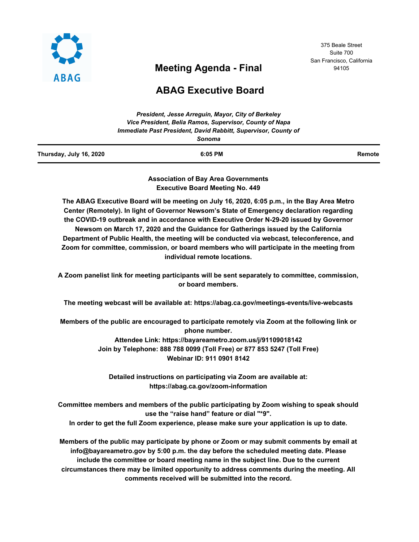

# **Meeting Agenda - Final**

375 Beale Street Suite 700 San Francisco, California 94105

# **ABAG Executive Board**

*President, Jesse Arreguin, Mayor, City of Berkeley*

|                         | President, Jesse Afrequin, Mayor, City of Berkeley<br>Vice President, Belia Ramos, Supervisor, County of Napa |        |
|-------------------------|---------------------------------------------------------------------------------------------------------------|--------|
|                         | Immediate Past President, David Rabbitt, Supervisor, County of                                                |        |
|                         | Sonoma                                                                                                        |        |
| Thursday, July 16, 2020 | $6:05$ PM                                                                                                     | Remote |
|                         |                                                                                                               |        |

**Association of Bay Area Governments Executive Board Meeting No. 449**

**The ABAG Executive Board will be meeting on July 16, 2020, 6:05 p.m., in the Bay Area Metro Center (Remotely). In light of Governor Newsom's State of Emergency declaration regarding the COVID-19 outbreak and in accordance with Executive Order N-29-20 issued by Governor Newsom on March 17, 2020 and the Guidance for Gatherings issued by the California Department of Public Health, the meeting will be conducted via webcast, teleconference, and Zoom for committee, commission, or board members who will participate in the meeting from individual remote locations.**

**A Zoom panelist link for meeting participants will be sent separately to committee, commission, or board members.**

**The meeting webcast will be available at: https://abag.ca.gov/meetings-events/live-webcasts**

**Members of the public are encouraged to participate remotely via Zoom at the following link or phone number. Attendee Link: https://bayareametro.zoom.us/j/91109018142 Join by Telephone: 888 788 0099 (Toll Free) or 877 853 5247 (Toll Free) Webinar ID: 911 0901 8142**

> **Detailed instructions on participating via Zoom are available at: https://abag.ca.gov/zoom-information**

**Committee members and members of the public participating by Zoom wishing to speak should use the "raise hand" feature or dial "\*9". In order to get the full Zoom experience, please make sure your application is up to date.**

**Members of the public may participate by phone or Zoom or may submit comments by email at info@bayareametro.gov by 5:00 p.m. the day before the scheduled meeting date. Please include the committee or board meeting name in the subject line. Due to the current circumstances there may be limited opportunity to address comments during the meeting. All comments received will be submitted into the record.**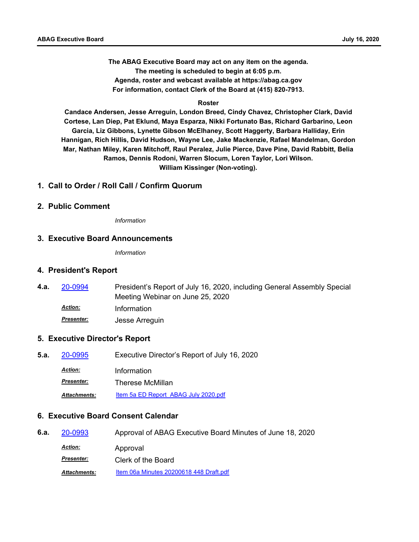**The ABAG Executive Board may act on any item on the agenda. The meeting is scheduled to begin at 6:05 p.m. Agenda, roster and webcast available at https://abag.ca.gov For information, contact Clerk of the Board at (415) 820-7913.**

#### **Roster**

**Candace Andersen, Jesse Arreguin, London Breed, Cindy Chavez, Christopher Clark, David Cortese, Lan Diep, Pat Eklund, Maya Esparza, Nikki Fortunato Bas, Richard Garbarino, Leon Garcia, Liz Gibbons, Lynette Gibson McElhaney, Scott Haggerty, Barbara Halliday, Erin Hannigan, Rich Hillis, David Hudson, Wayne Lee, Jake Mackenzie, Rafael Mandelman, Gordon Mar, Nathan Miley, Karen Mitchoff, Raul Peralez, Julie Pierce, Dave Pine, David Rabbitt, Belia Ramos, Dennis Rodoni, Warren Slocum, Loren Taylor, Lori Wilson. William Kissinger (Non-voting).**

### **1. Call to Order / Roll Call / Confirm Quorum**

### **2. Public Comment**

*Information*

### **3. Executive Board Announcements**

*Information*

#### **4. President's Report**

President's Report of July 16, 2020, including General Assembly Special Meeting Webinar on June 25, 2020 **4.a.** [20-0994](http://mtc.legistar.com/gateway.aspx?m=l&id=/matter.aspx?key=20858) *Action:* Information *Presenter:* Jesse Arreguin

### **5. Executive Director's Report**

**5.a.** [20-0995](http://mtc.legistar.com/gateway.aspx?m=l&id=/matter.aspx?key=20859) Executive Director's Report of July 16, 2020 *Action:* Information *Presenter:* Therese McMillan *Attachments:* [Item 5a ED Report ABAG July 2020.pdf](http://mtc.legistar.com/gateway.aspx?M=F&ID=4bb4af91-3578-4e50-b53e-49de576183da.pdf)

### **6. Executive Board Consent Calendar**

| 6.a. | 20-0993             | Approval of ABAG Executive Board Minutes of June 18, 2020 |
|------|---------------------|-----------------------------------------------------------|
|      | <u>Action:</u>      | Approval                                                  |
|      | <b>Presenter:</b>   | Clerk of the Board                                        |
|      | <b>Attachments:</b> | Item 06a Minutes 20200618 448 Draft.pdf                   |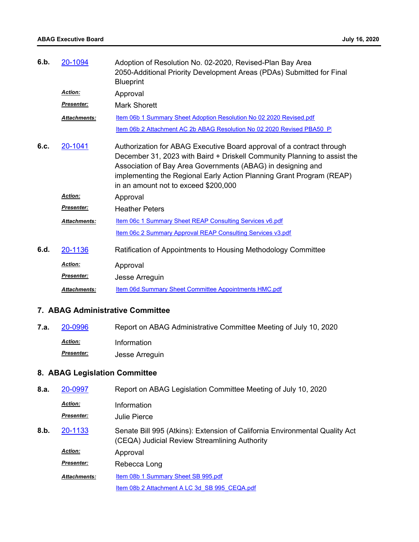| 6.b. | 20-1094             | Adoption of Resolution No. 02-2020, Revised-Plan Bay Area<br>2050-Additional Priority Development Areas (PDAs) Submitted for Final<br><b>Blueprint</b>                                                                                                                                                                           |
|------|---------------------|----------------------------------------------------------------------------------------------------------------------------------------------------------------------------------------------------------------------------------------------------------------------------------------------------------------------------------|
|      | <b>Action:</b>      | Approval                                                                                                                                                                                                                                                                                                                         |
|      | <b>Presenter:</b>   | <b>Mark Shorett</b>                                                                                                                                                                                                                                                                                                              |
|      | <b>Attachments:</b> | Item 06b 1 Summary Sheet Adoption Resolution No 02 2020 Revised.pdf                                                                                                                                                                                                                                                              |
|      |                     | Item 06b 2 Attachment AC 2b ABAG Resolution No 02 2020 Revised PBA50 P                                                                                                                                                                                                                                                           |
| 6.C. | 20-1041             | Authorization for ABAG Executive Board approval of a contract through<br>December 31, 2023 with Baird + Driskell Community Planning to assist the<br>Association of Bay Area Governments (ABAG) in designing and<br>implementing the Regional Early Action Planning Grant Program (REAP)<br>in an amount not to exceed \$200,000 |
|      | Action:             | Approval                                                                                                                                                                                                                                                                                                                         |
|      | <b>Presenter:</b>   | <b>Heather Peters</b>                                                                                                                                                                                                                                                                                                            |
|      | <b>Attachments:</b> | Item 06c 1 Summary Sheet REAP Consulting Services v6.pdf                                                                                                                                                                                                                                                                         |
|      |                     | Item 06c 2 Summary Approval REAP Consulting Services v3.pdf                                                                                                                                                                                                                                                                      |
| 6.d. | 20-1136             | Ratification of Appointments to Housing Methodology Committee                                                                                                                                                                                                                                                                    |
|      | <b>Action:</b>      | Approval                                                                                                                                                                                                                                                                                                                         |
|      | Presenter:          | Jesse Arreguin                                                                                                                                                                                                                                                                                                                   |
|      | <b>Attachments:</b> | Item 06d Summary Sheet Committee Appointments HMC.pdf                                                                                                                                                                                                                                                                            |

## **7. ABAG Administrative Committee**

**7.a.** [20-0996](http://mtc.legistar.com/gateway.aspx?m=l&id=/matter.aspx?key=20860) Report on ABAG Administrative Committee Meeting of July 10, 2020 *Action:* Information *Presenter:* Jesse Arreguin

## **8. ABAG Legislation Committee**

| 8.a. | 20-0997             | Report on ABAG Legislation Committee Meeting of July 10, 2020                                                                |
|------|---------------------|------------------------------------------------------------------------------------------------------------------------------|
|      | <b>Action:</b>      | Information                                                                                                                  |
|      | <b>Presenter:</b>   | Julie Pierce                                                                                                                 |
| 8.b. | 20-1133             | Senate Bill 995 (Atkins): Extension of California Environmental Quality Act<br>(CEQA) Judicial Review Streamlining Authority |
|      | <b>Action:</b>      | Approval                                                                                                                     |
|      | <b>Presenter:</b>   | Rebecca Long                                                                                                                 |
|      | <b>Attachments:</b> | Item 08b 1 Summary Sheet SB 995.pdf                                                                                          |
|      |                     | Item 08b 2 Attachment A LC 3d SB 995 CEQA.pdf                                                                                |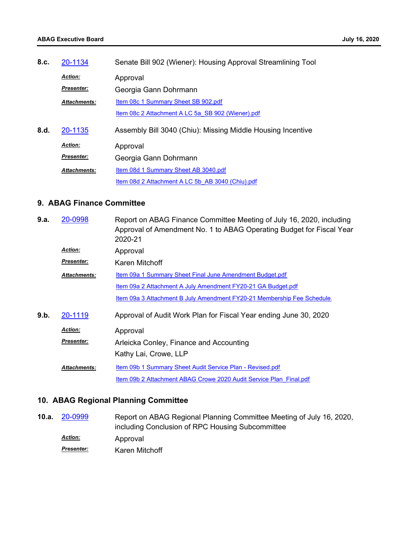| 8.c. | 20-1134             | Senate Bill 902 (Wiener): Housing Approval Streamlining Tool |
|------|---------------------|--------------------------------------------------------------|
|      | <b>Action:</b>      | Approval                                                     |
|      | <b>Presenter:</b>   | Georgia Gann Dohrmann                                        |
|      | <b>Attachments:</b> | Item 08c 1 Summary Sheet SB 902.pdf                          |
|      |                     | Item 08c 2 Attachment A LC 5a SB 902 (Wiener).pdf            |
| 8.d. | 20-1135             | Assembly Bill 3040 (Chiu): Missing Middle Housing Incentive  |
|      | <b>Action:</b>      | Approval                                                     |
|      | <b>Presenter:</b>   | Georgia Gann Dohrmann                                        |
|      | <b>Attachments:</b> | Item 08d 1 Summary Sheet AB 3040.pdf                         |
|      |                     | Item 08d 2 Attachment A LC 5b AB 3040 (Chiu).pdf             |

### **9. ABAG Finance Committee**

| 9.a. | 20-0998             | Report on ABAG Finance Committee Meeting of July 16, 2020, including<br>Approval of Amendment No. 1 to ABAG Operating Budget for Fiscal Year<br>2020-21 |
|------|---------------------|---------------------------------------------------------------------------------------------------------------------------------------------------------|
|      | <b>Action:</b>      | Approval                                                                                                                                                |
|      | <b>Presenter:</b>   | Karen Mitchoff                                                                                                                                          |
|      | Attachments:        | Item 09a 1 Summary Sheet Final June Amendment Budget.pdf                                                                                                |
|      |                     | Item 09a 2 Attachment A July Amendment FY20-21 GA Budget.pdf                                                                                            |
|      |                     | Item 09a 3 Attachment B July Amendment FY20-21 Membership Fee Schedule.                                                                                 |
| 9.b. | 20-1119             | Approval of Audit Work Plan for Fiscal Year ending June 30, 2020                                                                                        |
|      | <b>Action:</b>      | Approval                                                                                                                                                |
|      | <b>Presenter:</b>   | Arleicka Conley, Finance and Accounting                                                                                                                 |
|      |                     | Kathy Lai, Crowe, LLP                                                                                                                                   |
|      | <b>Attachments:</b> | Item 09b 1 Summary Sheet Audit Service Plan - Revised.pdf                                                                                               |
|      |                     | Item 09b 2 Attachment ABAG Crowe 2020 Audit Service Plan Final.pdf                                                                                      |
|      |                     |                                                                                                                                                         |

# **10. ABAG Regional Planning Committee**

| 10.a. | 20-0999           | Report on ABAG Regional Planning Committee Meeting of July 16, 2020, |
|-------|-------------------|----------------------------------------------------------------------|
|       |                   | including Conclusion of RPC Housing Subcommittee                     |
|       | <b>Action:</b>    | Approval                                                             |
|       | <b>Presenter:</b> | Karen Mitchoff                                                       |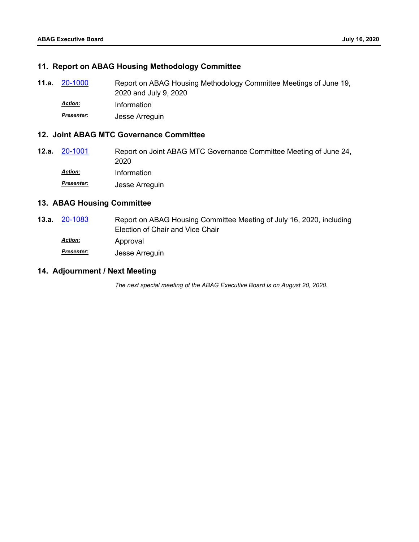### **11. Report on ABAG Housing Methodology Committee**

Report on ABAG Housing Methodology Committee Meetings of June 19, 2020 and July 9, 2020 **11.a.** [20-1000](http://mtc.legistar.com/gateway.aspx?m=l&id=/matter.aspx?key=20864) *Action:* Information *Presenter:* Jesse Arreguin

#### **12. Joint ABAG MTC Governance Committee**

Report on Joint ABAG MTC Governance Committee Meeting of June 24, 2020 **12.a.** [20-1001](http://mtc.legistar.com/gateway.aspx?m=l&id=/matter.aspx?key=20865) *Action:* Information *Presenter:* Jesse Arreguin

### **13. ABAG Housing Committee**

Report on ABAG Housing Committee Meeting of July 16, 2020, including Election of Chair and Vice Chair **13.a.** [20-1083](http://mtc.legistar.com/gateway.aspx?m=l&id=/matter.aspx?key=20947) Approval *Action: Presenter:* Jesse Arreguin

### **14. Adjournment / Next Meeting**

*The next special meeting of the ABAG Executive Board is on August 20, 2020.*